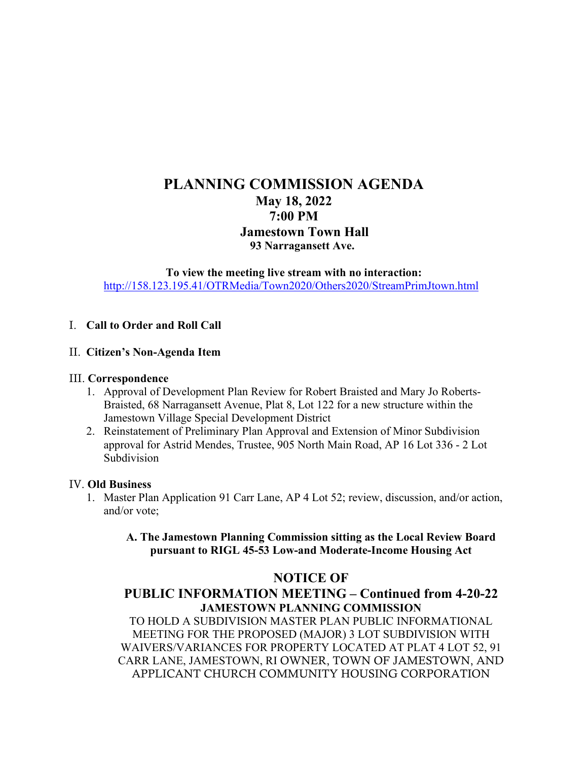# **PLANNING COMMISSION AGENDA May 18, 2022 7:00 PM Jamestown Town Hall 93 Narragansett Ave.**

**To view the meeting live stream with no interaction:** <http://158.123.195.41/OTRMedia/Town2020/Others2020/StreamPrimJtown.html>

## I. **Call to Order and Roll Call**

## II. **Citizen's Non-Agenda Item**

#### III. **Correspondence**

- 1. Approval of Development Plan Review for Robert Braisted and Mary Jo Roberts-Braisted, 68 Narragansett Avenue, Plat 8, Lot 122 for a new structure within the Jamestown Village Special Development District
- 2. Reinstatement of Preliminary Plan Approval and Extension of Minor Subdivision approval for Astrid Mendes, Trustee, 905 North Main Road, AP 16 Lot 336 - 2 Lot Subdivision

#### IV. **Old Business**

1. Master Plan Application 91 Carr Lane, AP 4 Lot 52; review, discussion, and/or action, and/or vote;

**A. The Jamestown Planning Commission sitting as the Local Review Board pursuant to RIGL 45-53 Low-and Moderate-Income Housing Act**

## **NOTICE OF**

## **PUBLIC INFORMATION MEETING – Continued from 4-20-22 JAMESTOWN PLANNING COMMISSION**

TO HOLD A SUBDIVISION MASTER PLAN PUBLIC INFORMATIONAL MEETING FOR THE PROPOSED (MAJOR) 3 LOT SUBDIVISION WITH WAIVERS/VARIANCES FOR PROPERTY LOCATED AT PLAT 4 LOT 52, 91 CARR LANE, JAMESTOWN, RI OWNER, TOWN OF JAMESTOWN, AND APPLICANT CHURCH COMMUNITY HOUSING CORPORATION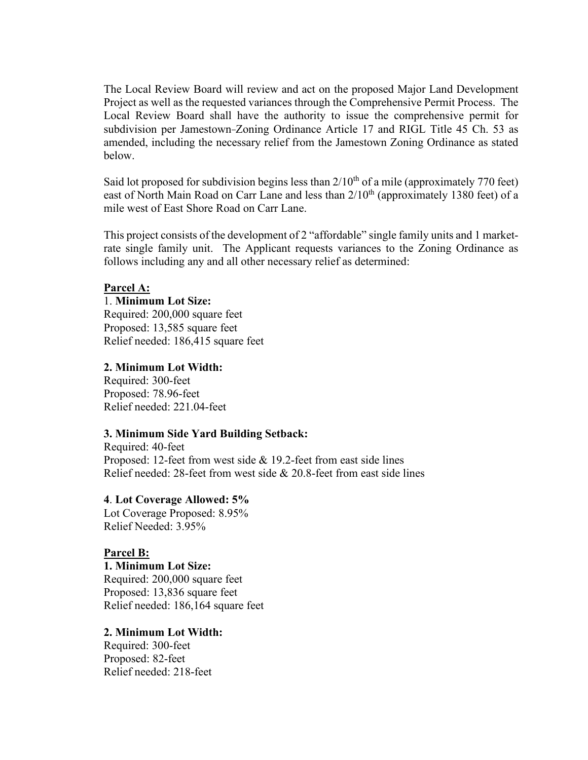The Local Review Board will review and act on the proposed Major Land Development Project as well as the requested variances through the Comprehensive Permit Process. The Local Review Board shall have the authority to issue the comprehensive permit for subdivision per Jamestown-Zoning Ordinance Article 17 and RIGL Title 45 Ch. 53 as amended, including the necessary relief from the Jamestown Zoning Ordinance as stated below.

Said lot proposed for subdivision begins less than  $2/10^{th}$  of a mile (approximately 770 feet) east of North Main Road on Carr Lane and less than  $2/10^{th}$  (approximately 1380 feet) of a mile west of East Shore Road on Carr Lane.

This project consists of the development of 2 "affordable" single family units and 1 marketrate single family unit. The Applicant requests variances to the Zoning Ordinance as follows including any and all other necessary relief as determined:

#### **Parcel A:**

## 1. **Minimum Lot Size:**

Required: 200,000 square feet Proposed: 13,585 square feet Relief needed: 186,415 square feet

#### **2. Minimum Lot Width:**

Required: 300-feet Proposed: 78.96-feet Relief needed: 221.04-feet

#### **3. Minimum Side Yard Building Setback:**

Required: 40-feet Proposed: 12-feet from west side & 19.2-feet from east side lines Relief needed: 28-feet from west side & 20.8-feet from east side lines

#### **4**. **Lot Coverage Allowed: 5%**

Lot Coverage Proposed: 8.95% Relief Needed: 3.95%

#### **Parcel B:**

**1. Minimum Lot Size:** Required: 200,000 square feet Proposed: 13,836 square feet Relief needed: 186,164 square feet

#### **2. Minimum Lot Width:**

Required: 300-feet Proposed: 82-feet Relief needed: 218-feet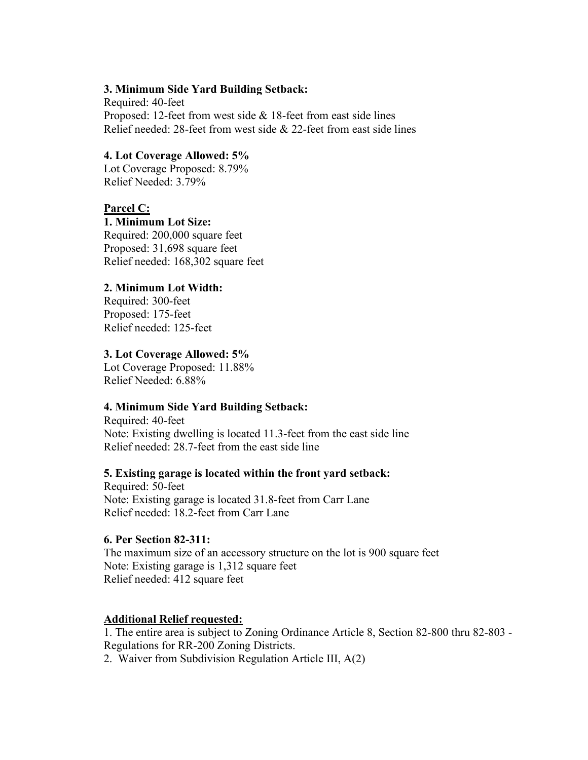#### **3. Minimum Side Yard Building Setback:**

Required: 40-feet Proposed: 12-feet from west side & 18-feet from east side lines Relief needed: 28-feet from west side & 22-feet from east side lines

#### **4. Lot Coverage Allowed: 5%**

Lot Coverage Proposed: 8.79% Relief Needed: 3.79%

#### **Parcel C:**

#### **1. Minimum Lot Size:**

Required: 200,000 square feet Proposed: 31,698 square feet Relief needed: 168,302 square feet

#### **2. Minimum Lot Width:**

Required: 300-feet Proposed: 175-feet Relief needed: 125-feet

#### **3. Lot Coverage Allowed: 5%**

Lot Coverage Proposed: 11.88% Relief Needed: 6.88%

#### **4. Minimum Side Yard Building Setback:**

Required: 40-feet Note: Existing dwelling is located 11.3-feet from the east side line Relief needed: 28.7-feet from the east side line

#### **5. Existing garage is located within the front yard setback:**

Required: 50-feet Note: Existing garage is located 31.8-feet from Carr Lane Relief needed: 18.2-feet from Carr Lane

#### **6. Per Section 82-311:**

The maximum size of an accessory structure on the lot is 900 square feet Note: Existing garage is 1,312 square feet Relief needed: 412 square feet

#### **Additional Relief requested:**

1. The entire area is subject to Zoning Ordinance Article 8, Section 82-800 thru 82-803 - Regulations for RR-200 Zoning Districts.

2. Waiver from Subdivision Regulation Article III, A(2)